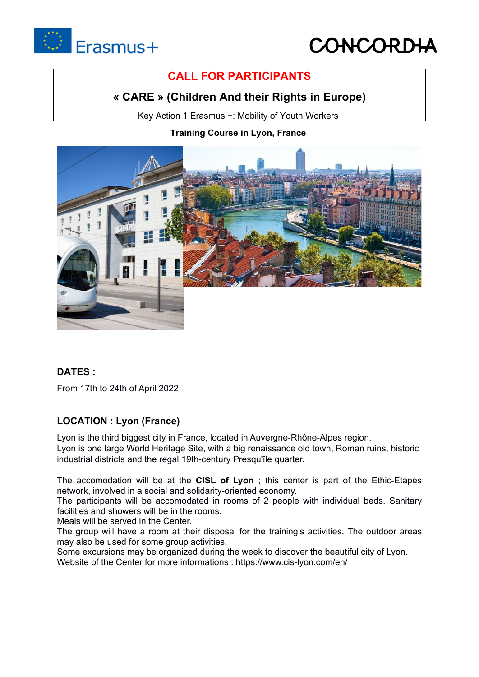

# **CONCOR**

# **CALL FOR PARTICIPANTS**

## **« CARE » (Children And their Rights in Europe)**

Key Action 1 Erasmus +: Mobility of Youth Workers

## **Training Course in Lyon, France**



## **DATES :**

From 17th to 24th of April 2022

## **LOCATION : Lyon (France)**

Lyon is the third biggest city in France, located in Auvergne-Rhône-Alpes region. Lyon is one large World Heritage Site, with a big renaissance old town, Roman ruins, historic

industrial districts and the regal 19th-century Presqu'île quarter.

The accomodation will be at the **CISL of Lyon** ; this center is part of the Ethic-Etapes

The participants will be accomodated in rooms of 2 people with individual beds. Sanitary facilities and showers will be in the rooms.

Meals will be served in the Center.

The group will have a room at their disposal for the training's activities. The outdoor areas may also be used for some group activities.

Some excursions may be organized during the week to discover the beautiful city of Lyon. Website of the Center for more informations : https://www.cis-lyon.com/en/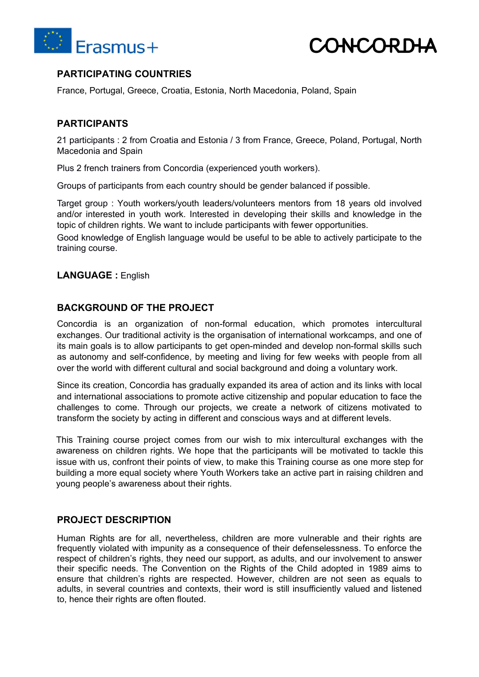



### **PARTICIPATING COUNTRIES**

France, Portugal, Greece, Croatia, Estonia, North Macedonia, Poland, Spain

#### **PARTICIPANTS**

21 participants : 2 from Croatia and Estonia / 3 from France, Greece, Poland, Portugal, North Macedonia and Spain

Plus 2 french trainers from Concordia (experienced youth workers).

Groups of participants from each country should be gender balanced if possible.

Target group : Youth workers/youth leaders/volunteers mentors from 18 years old involved and/or interested in youth work. Interested in developing their skills and knowledge in the topic of children rights. We want to include participants with fewer opportunities.

Good knowledge of English language would be useful to be able to actively participate to the training course.

**LANGUAGE :** English

#### **BACKGROUND OF THE PROJECT**

Concordia is an organization of non-formal education, which promotes intercultural exchanges. Our traditional activity is the organisation of international workcamps, and one of its main goals is to allow participants to get open-minded and develop non-formal skills such as autonomy and self-confidence, by meeting and living for few weeks with people from all over the world with different cultural and social background and doing a voluntary work.

Since its creation, Concordia has gradually expanded its area of action and its links with local and international associations to promote active citizenship and popular education to face the challenges to come. Through our projects, we create a network of citizens motivated to transform the society by acting in different and conscious ways and at different levels.

This Training course project comes from our wish to mix intercultural exchanges with the awareness on children rights. We hope that the participants will be motivated to tackle this issue with us, confront their points of view, to make this Training course as one more step for building a more equal society where Youth Workers take an active part in raising children and young people's awareness about their rights.

#### **PROJECT DESCRIPTION**

Human Rights are for all, nevertheless, children are more vulnerable and their rights are frequently violated with impunity as a consequence of their defenselessness. To enforce the respect of children's rights, they need our support, as adults, and our involvement to answer their specific needs. The Convention on the Rights of the Child adopted in 1989 aims to ensure that children's rights are respected. However, children are not seen as equals to adults, in several countries and contexts, their word is still insufficiently valued and listened to, hence their rights are often flouted.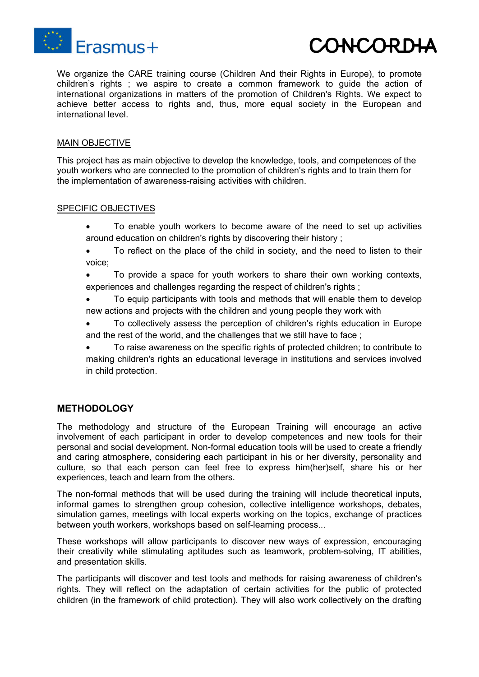

We organize the CARE training course (Children And their Rights in Europe), to promote children's rights ; we aspire to create a common framework to guide the action of international organizations in matters of the promotion of Children's Rights. We expect to achieve better access to rights and, thus, more equal society in the European and international level.

#### MAIN OBJECTIVE

This project has as main objective to develop the knowledge, tools, and competences of the youth workers who are connected to the promotion of children's rights and to train them for the implementation of awareness-raising activities with children.

#### SPECIFIC OBJECTIVES

- To enable youth workers to become aware of the need to set up activities around education on children's rights by discovering their history ;
- To reflect on the place of the child in society, and the need to listen to their voice;
- To provide a space for youth workers to share their own working contexts, experiences and challenges regarding the respect of children's rights ;
- To equip participants with tools and methods that will enable them to develop new actions and projects with the children and young people they work with
- To collectively assess the perception of children's rights education in Europe and the rest of the world, and the challenges that we still have to face ;
- To raise awareness on the specific rights of protected children; to contribute to making children's rights an educational leverage in institutions and services involved in child protection.

#### **METHODOLOGY**

The methodology and structure of the European Training will encourage an active involvement of each participant in order to develop competences and new tools for their personal and social development. Non-formal education tools will be used to create a friendly and caring atmosphere, considering each participant in his or her diversity, personality and culture, so that each person can feel free to express him(her)self, share his or her experiences, teach and learn from the others.

The non-formal methods that will be used during the training will include theoretical inputs, informal games to strengthen group cohesion, collective intelligence workshops, debates, simulation games, meetings with local experts working on the topics, exchange of practices between youth workers, workshops based on self-learning process...

These workshops will allow participants to discover new ways of expression, encouraging their creativity while stimulating aptitudes such as teamwork, problem-solving, IT abilities, and presentation skills.

The participants will discover and test tools and methods for raising awareness of children's rights. They will reflect on the adaptation of certain activities for the public of protected children (in the framework of child protection). They will also work collectively on the drafting